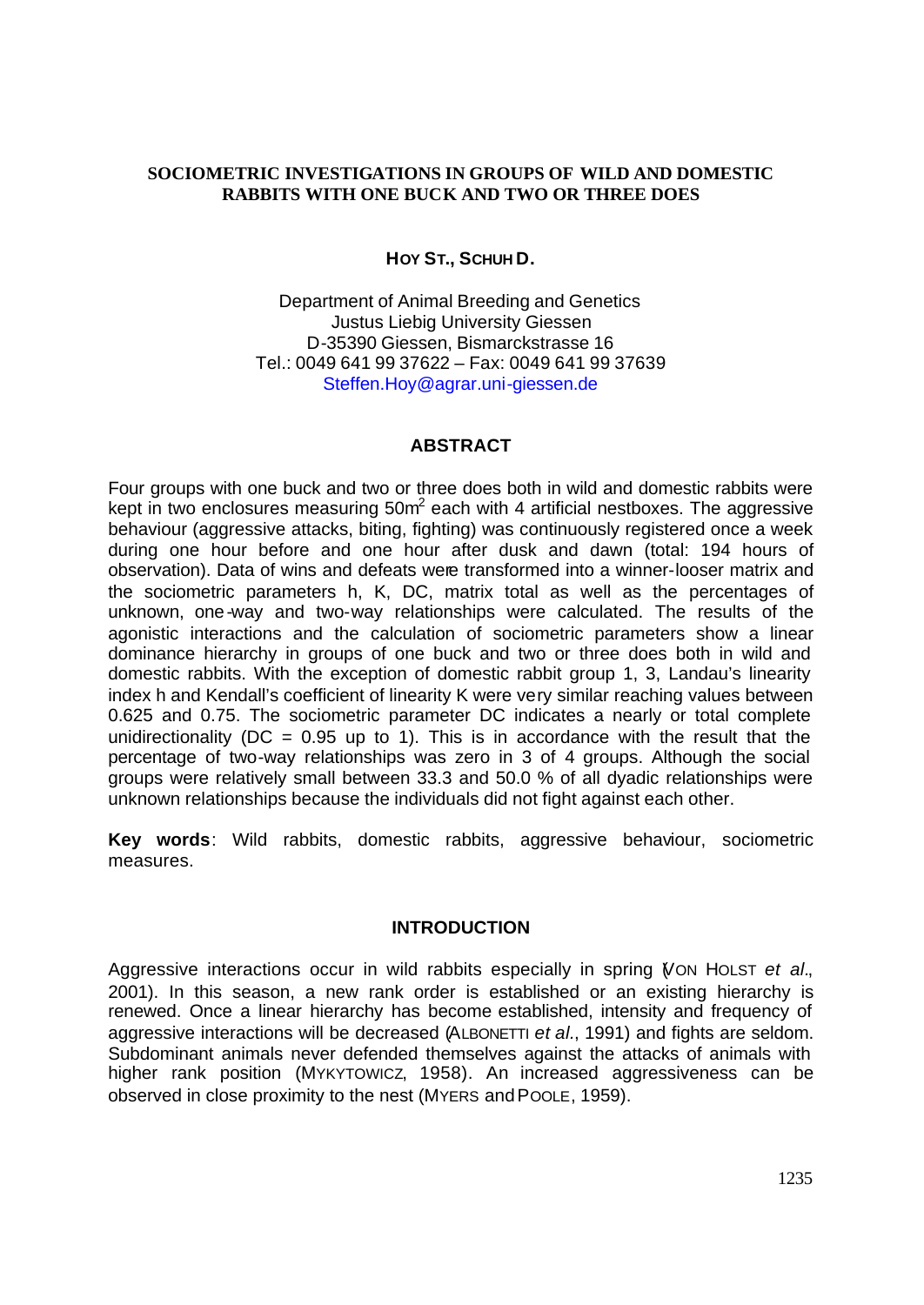### **SOCIOMETRIC INVESTIGATIONS IN GROUPS OF WILD AND DOMESTIC RABBITS WITH ONE BUCK AND TWO OR THREE DOES**

## **HOY ST., SCHUH D.**

Department of Animal Breeding and Genetics Justus Liebig University Giessen D-35390 Giessen, Bismarckstrasse 16 Tel.: 0049 641 99 37622 – Fax: 0049 641 99 37639 Steffen.Hoy@agrar.uni-giessen.de

#### **ABSTRACT**

Four groups with one buck and two or three does both in wild and domestic rabbits were kept in two enclosures measuring 50m<sup>2</sup> each with 4 artificial nestboxes. The aggressive behaviour (aggressive attacks, biting, fighting) was continuously registered once a week during one hour before and one hour after dusk and dawn (total: 194 hours of observation). Data of wins and defeats were transformed into a winner-looser matrix and the sociometric parameters h, K, DC, matrix total as well as the percentages of unknown, one-way and two-way relationships were calculated. The results of the agonistic interactions and the calculation of sociometric parameters show a linear dominance hierarchy in groups of one buck and two or three does both in wild and domestic rabbits. With the exception of domestic rabbit group 1, 3, Landau's linearity index h and Kendall's coefficient of linearity K were very similar reaching values between 0.625 and 0.75. The sociometric parameter DC indicates a nearly or total complete unidirectionality ( $DC = 0.95$  up to 1). This is in accordance with the result that the percentage of two-way relationships was zero in 3 of 4 groups. Although the social groups were relatively small between 33.3 and 50.0 % of all dyadic relationships were unknown relationships because the individuals did not fight against each other.

**Key words**: Wild rabbits, domestic rabbits, aggressive behaviour, sociometric measures.

### **INTRODUCTION**

Aggressive interactions occur in wild rabbits especially in spring (VON HOLST *et al.*, 2001). In this season, a new rank order is established or an existing hierarchy is renewed. Once a linear hierarchy has become established, intensity and frequency of aggressive interactions will be decreased (ALBONETTI *et al.*, 1991) and fights are seldom. Subdominant animals never defended themselves against the attacks of animals with higher rank position (MYKYTOWICZ, 1958). An increased aggressiveness can be observed in close proximity to the nest (MYERS and POOLE, 1959).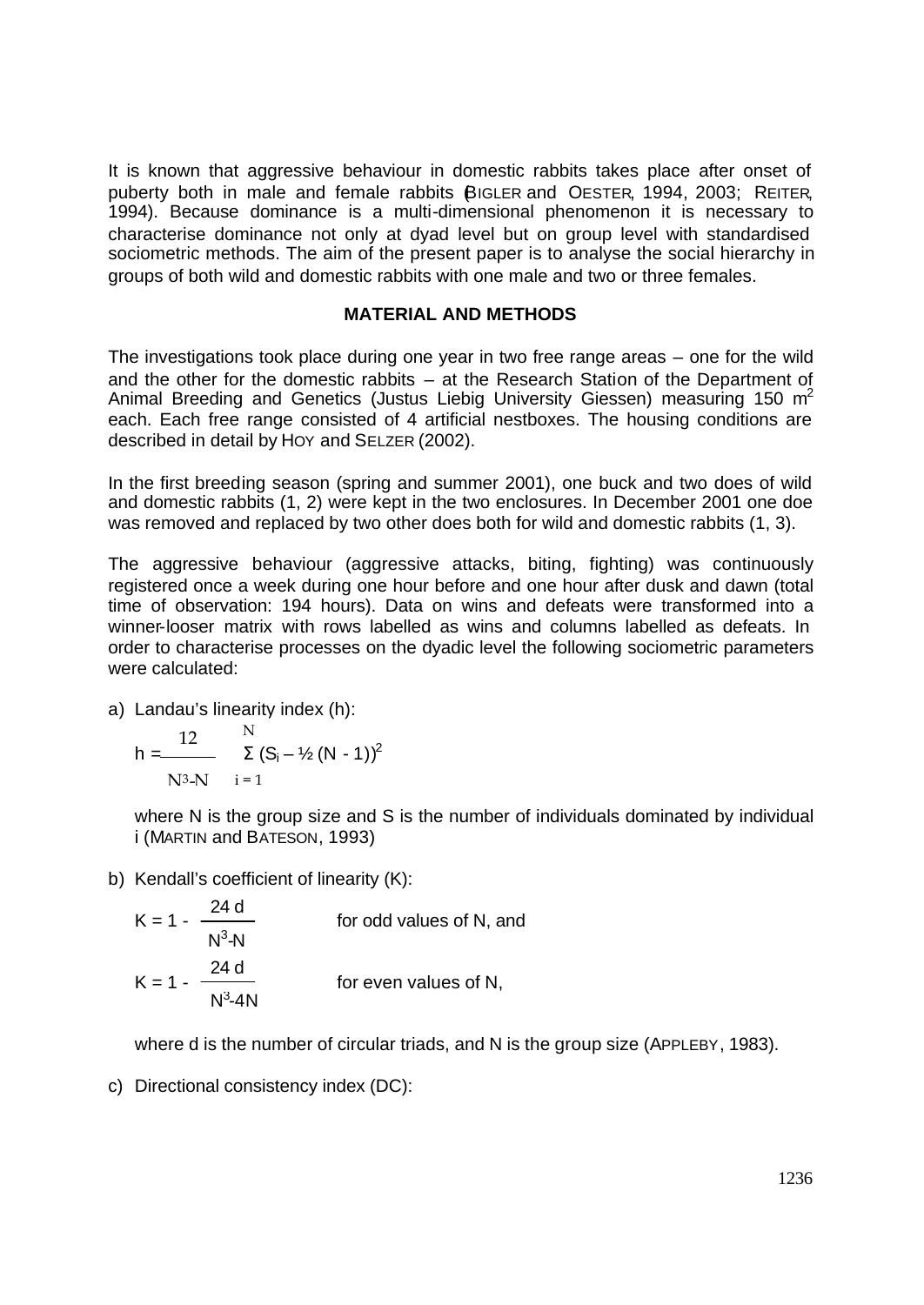It is known that aggressive behaviour in domestic rabbits takes place after onset of puberty both in male and female rabbits (BIGLER and OESTER, 1994, 2003; REITER, 1994). Because dominance is a multi-dimensional phenomenon it is necessary to characterise dominance not only at dyad level but on group level with standardised sociometric methods. The aim of the present paper is to analyse the social hierarchy in groups of both wild and domestic rabbits with one male and two or three females.

### **MATERIAL AND METHODS**

The investigations took place during one year in two free range areas – one for the wild and the other for the domestic rabbits – at the Research Station of the Department of Animal Breeding and Genetics (Justus Liebig University Giessen) measuring 150 m<sup>2</sup> each. Each free range consisted of 4 artificial nestboxes. The housing conditions are described in detail by HOY and SELZER (2002).

In the first breeding season (spring and summer 2001), one buck and two does of wild and domestic rabbits (1, 2) were kept in the two enclosures. In December 2001 one doe was removed and replaced by two other does both for wild and domestic rabbits (1, 3).

The aggressive behaviour (aggressive attacks, biting, fighting) was continuously registered once a week during one hour before and one hour after dusk and dawn (total time of observation: 194 hours). Data on wins and defeats were transformed into a winner-looser matrix with rows labelled as wins and columns labelled as defeats. In order to characterise processes on the dyadic level the following sociometric parameters were calculated:

a) Landau's linearity index (h):

h = 
$$
\frac{12}{N^3 - N} = \sum_{i=1}^{N} (S_i - \frac{1}{2} (N - 1))^2
$$

where N is the group size and S is the number of individuals dominated by individual i (MARTIN and BATESON, 1993)

b) Kendall's coefficient of linearity (K):

$$
K = 1 - \frac{24 \text{ d}}{N^{3}-N}
$$
 for odd values of N, and  

$$
K = 1 - \frac{24 \text{ d}}{N^{3}-4N}
$$
 for even values of N,

where d is the number of circular triads, and N is the group size (APPLEBY, 1983).

c) Directional consistency index (DC):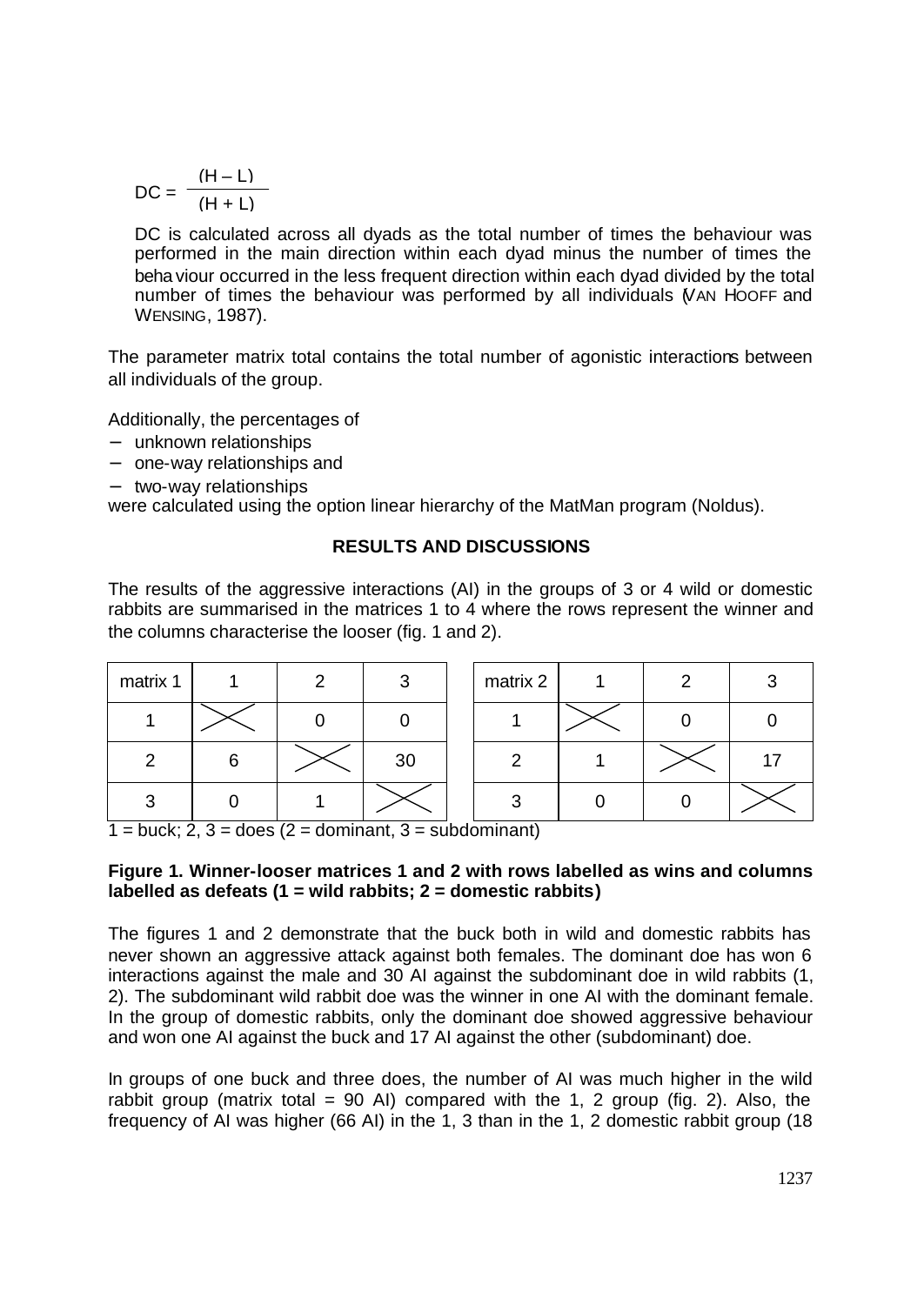$$
DC = \frac{(H - L)}{(H + L)}
$$

DC is calculated across all dyads as the total number of times the behaviour was performed in the main direction within each dyad minus the number of times the beha viour occurred in the less frequent direction within each dyad divided by the total number of times the behaviour was performed by all individuals (VAN HOOFF and WENSING, 1987).

The parameter matrix total contains the total number of agonistic interactions between all individuals of the group.

Additionally, the percentages of

- − unknown relationships
- − one-way relationships and
- − two-way relationships

were calculated using the option linear hierarchy of the MatMan program (Noldus).

# **RESULTS AND DISCUSSIONS**

The results of the aggressive interactions (AI) in the groups of 3 or 4 wild or domestic rabbits are summarised in the matrices 1 to 4 where the rows represent the winner and the columns characterise the looser (fig. 1 and 2).

| matrix 1 |   | ◠ | 3  | matrix 2 | c |    |
|----------|---|---|----|----------|---|----|
|          |   |   |    |          |   |    |
| Ω        | 6 |   | 30 |          |   | 17 |
| ົ        |   |   |    | ◠        |   |    |

 $1 = \text{buck}; 2, 3 = \text{does } (2 = \text{dominant}, 3 = \text{subdominant})$ 

### **Figure 1. Winner-looser matrices 1 and 2 with rows labelled as wins and columns labelled as defeats (1 = wild rabbits; 2 = domestic rabbits)**

The figures 1 and 2 demonstrate that the buck both in wild and domestic rabbits has never shown an aggressive attack against both females. The dominant doe has won 6 interactions against the male and 30 AI against the subdominant doe in wild rabbits (1, 2). The subdominant wild rabbit doe was the winner in one AI with the dominant female. In the group of domestic rabbits, only the dominant doe showed aggressive behaviour and won one AI against the buck and 17 AI against the other (subdominant) doe.

In groups of one buck and three does, the number of AI was much higher in the wild rabbit group (matrix total = 90 AI) compared with the 1, 2 group (fig. 2). Also, the frequency of AI was higher (66 AI) in the 1, 3 than in the 1, 2 domestic rabbit group (18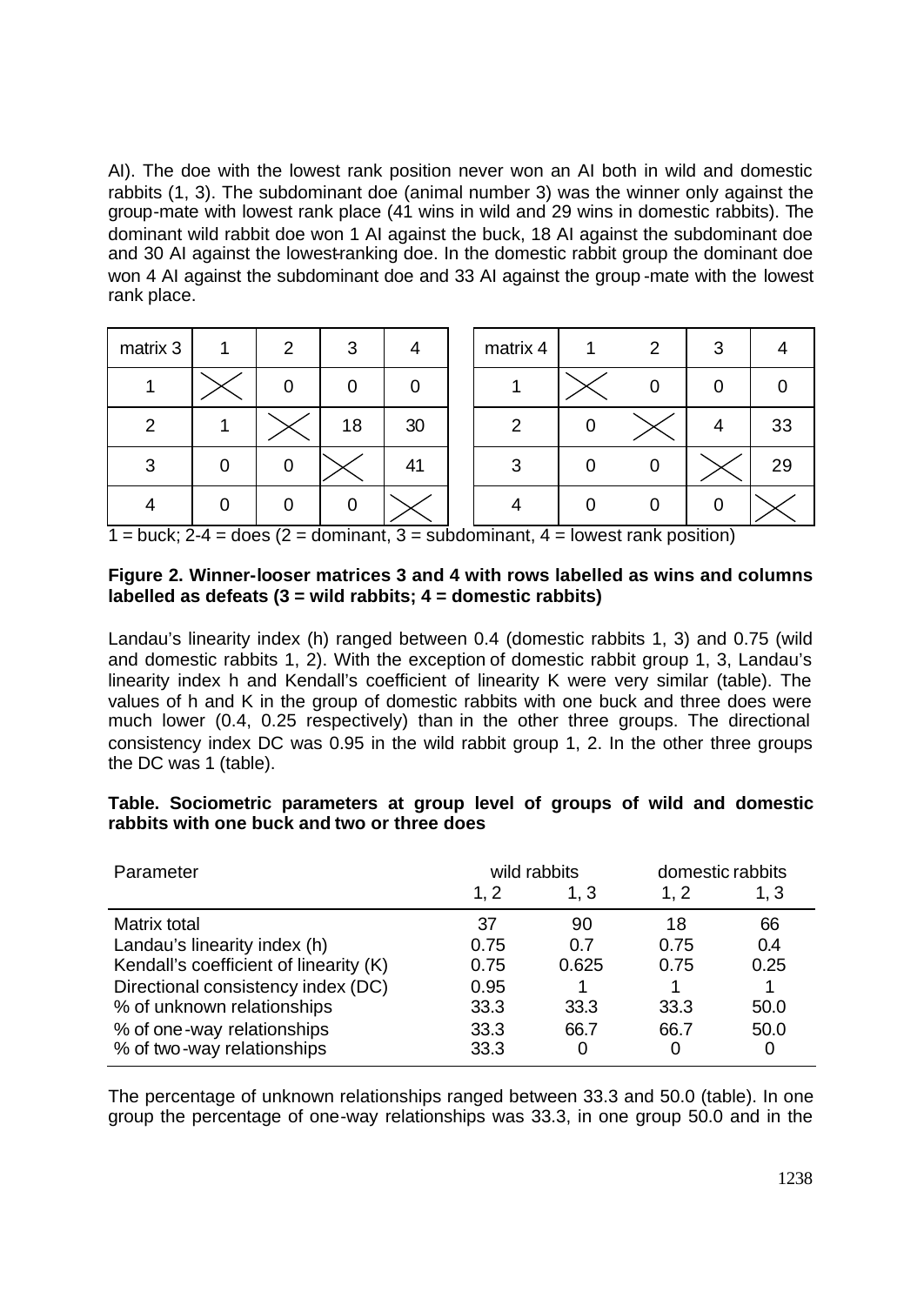AI). The doe with the lowest rank position never won an AI both in wild and domestic rabbits (1, 3). The subdominant doe (animal number 3) was the winner only against the group-mate with lowest rank place (41 wins in wild and 29 wins in domestic rabbits). The dominant wild rabbit doe won 1 AI against the buck, 18 AI against the subdominant doe and 30 AI against the lowest-ranking doe. In the domestic rabbit group the dominant doe won 4 AI against the subdominant doe and 33 AI against the group -mate with the lowest rank place.

| matrix 3      | $\mathcal{P}$  | 3  | 4  | matrix 4 | 1. | 2 | 3 |    |
|---------------|----------------|----|----|----------|----|---|---|----|
|               | 0              |    |    |          |    |   |   |    |
| $\mathcal{P}$ |                | 18 | 30 | 2        |    |   |   | 33 |
| 3             | $\overline{0}$ |    | 41 | 3        |    |   |   | 29 |
|               |                |    |    |          |    |   |   |    |

 $1 = \text{buck}$ ; 2-4 = does (2 = dominant, 3 = subdominant, 4 = lowest rank position)

### **Figure 2. Winner-looser matrices 3 and 4 with rows labelled as wins and columns labelled as defeats (3 = wild rabbits; 4 = domestic rabbits)**

Landau's linearity index (h) ranged between 0.4 (domestic rabbits 1, 3) and 0.75 (wild and domestic rabbits 1, 2). With the exception of domestic rabbit group 1, 3, Landau's linearity index h and Kendall's coefficient of linearity K were very similar (table). The values of h and K in the group of domestic rabbits with one buck and three does were much lower (0.4, 0.25 respectively) than in the other three groups. The directional consistency index DC was 0.95 in the wild rabbit group 1, 2. In the other three groups the DC was 1 (table).

## **Table. Sociometric parameters at group level of groups of wild and domestic rabbits with one buck and two or three does**

| Parameter                              |      | wild rabbits | domestic rabbits |      |
|----------------------------------------|------|--------------|------------------|------|
|                                        | 1, 2 | 1, 3         | 1, 2             | 1, 3 |
| Matrix total                           | 37   | 90           | 18               | 66   |
| Landau's linearity index (h)           | 0.75 | 0.7          | 0.75             | 0.4  |
| Kendall's coefficient of linearity (K) | 0.75 | 0.625        | 0.75             | 0.25 |
| Directional consistency index (DC)     | 0.95 |              |                  |      |
| % of unknown relationships             | 33.3 | 33.3         | 33.3             | 50.0 |
| % of one-way relationships             | 33.3 | 66.7         | 66.7             | 50.0 |
| % of two-way relationships             | 33.3 | 0            | 0                | 0    |

The percentage of unknown relationships ranged between 33.3 and 50.0 (table). In one group the percentage of one-way relationships was 33.3, in one group 50.0 and in the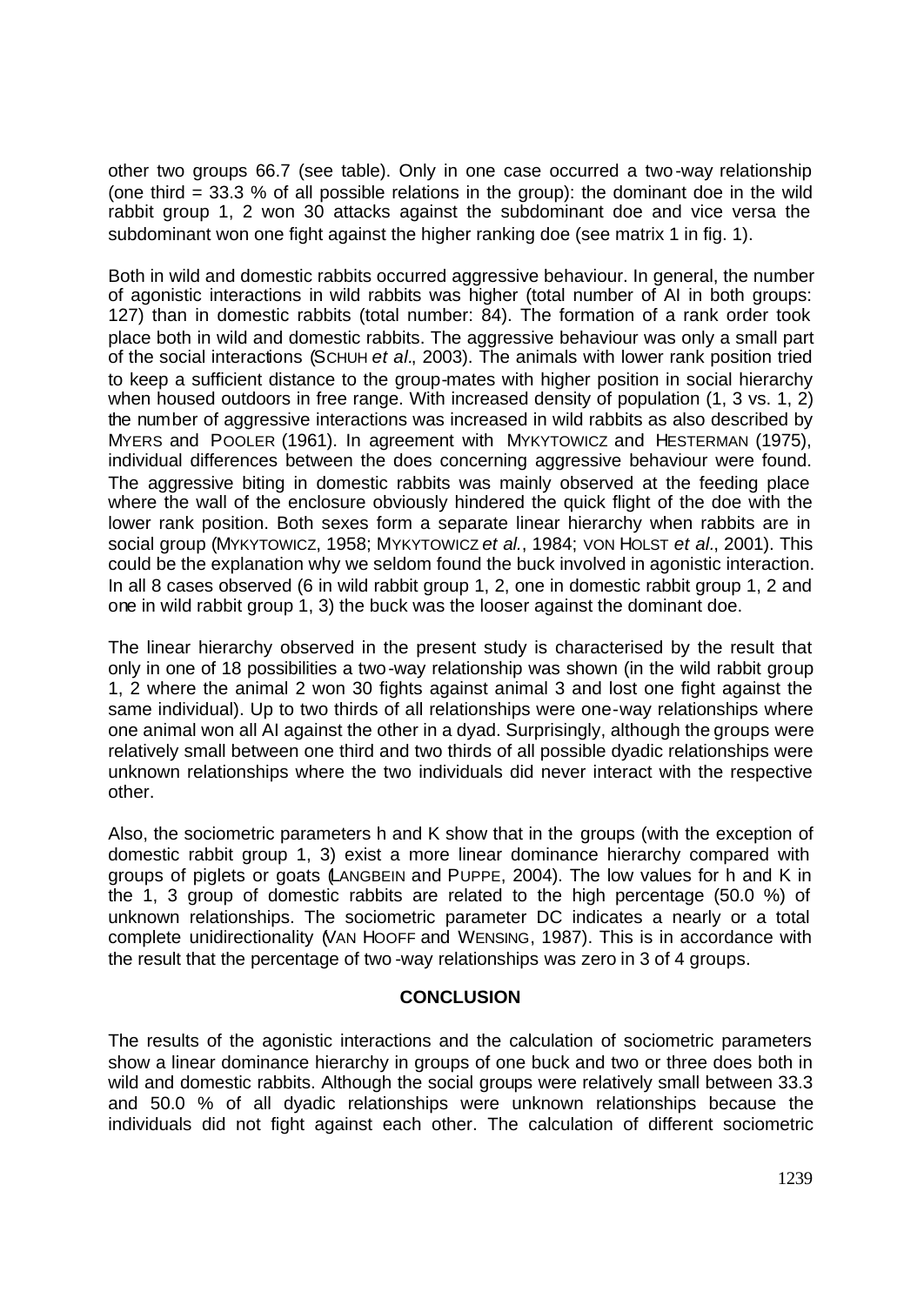other two groups 66.7 (see table). Only in one case occurred a two-way relationship (one third = 33.3 % of all possible relations in the group): the dominant doe in the wild rabbit group 1, 2 won 30 attacks against the subdominant doe and vice versa the subdominant won one fight against the higher ranking doe (see matrix 1 in fig. 1).

Both in wild and domestic rabbits occurred aggressive behaviour. In general, the number of agonistic interactions in wild rabbits was higher (total number of AI in both groups: 127) than in domestic rabbits (total number: 84). The formation of a rank order took place both in wild and domestic rabbits. The aggressive behaviour was only a small part of the social interactions (SCHUH *et al.*, 2003). The animals with lower rank position tried to keep a sufficient distance to the group-mates with higher position in social hierarchy when housed outdoors in free range. With increased density of population (1, 3 vs. 1, 2) the number of aggressive interactions was increased in wild rabbits as also described by MYERS and POOLER (1961). In agreement with MYKYTOWICZ and HESTERMAN (1975), individual differences between the does concerning aggressive behaviour were found. The aggressive biting in domestic rabbits was mainly observed at the feeding place where the wall of the enclosure obviously hindered the quick flight of the doe with the lower rank position. Both sexes form a separate linear hierarchy when rabbits are in social group (MYKYTOWICZ, 1958; MYKYTOWICZ *et al.*, 1984; VON HOLST *et al.*, 2001). This could be the explanation why we seldom found the buck involved in agonistic interaction. In all 8 cases observed (6 in wild rabbit group 1, 2, one in domestic rabbit group 1, 2 and one in wild rabbit group 1, 3) the buck was the looser against the dominant doe.

The linear hierarchy observed in the present study is characterised by the result that only in one of 18 possibilities a two-way relationship was shown (in the wild rabbit group 1, 2 where the animal 2 won 30 fights against animal 3 and lost one fight against the same individual). Up to two thirds of all relationships were one-way relationships where one animal won all AI against the other in a dyad. Surprisingly, although the groups were relatively small between one third and two thirds of all possible dyadic relationships were unknown relationships where the two individuals did never interact with the respective other.

Also, the sociometric parameters h and K show that in the groups (with the exception of domestic rabbit group 1, 3) exist a more linear dominance hierarchy compared with groups of piglets or goats (LANGBEIN and PUPPE, 2004). The low values for h and K in the 1, 3 group of domestic rabbits are related to the high percentage (50.0 %) of unknown relationships. The sociometric parameter DC indicates a nearly or a total complete unidirectionality (VAN HOOFF and WENSING, 1987). This is in accordance with the result that the percentage of two -way relationships was zero in 3 of 4 groups.

### **CONCLUSION**

The results of the agonistic interactions and the calculation of sociometric parameters show a linear dominance hierarchy in groups of one buck and two or three does both in wild and domestic rabbits. Although the social groups were relatively small between 33.3 and 50.0 % of all dyadic relationships were unknown relationships because the individuals did not fight against each other. The calculation of different sociometric